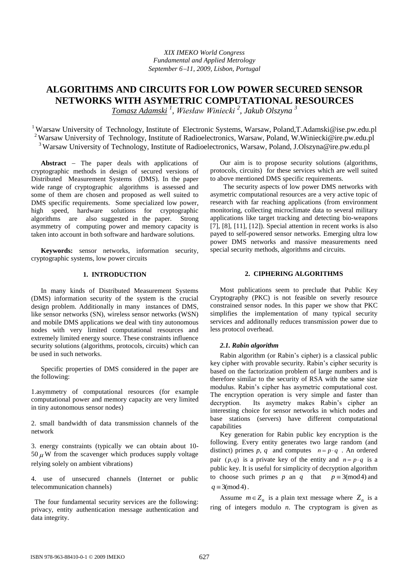# **ALGORITHMS AND CIRCUITS FOR LOW POWER SECURED SENSOR NETWORKS WITH ASYMETRIC COMPUTATIONAL RESOURCES**

*Tomasz Adamski <sup>1</sup> , Wiesław Winiecki <sup>2</sup> , Jakub Olszyna <sup>3</sup>*

<sup>1</sup> Warsaw University of Technology, Institute of Electronic Systems, Warsaw, Poland, T. Adamski@ise.pw.edu.pl <sup>2</sup> Warsaw University of Technology, Institute of Radioelectronics, Warsaw, Poland, W.Winiecki@ire.pw.edu.pl <sup>3</sup>Warsaw University of Technology, Institute of Radioelectronics, Warsaw, Poland, J.Olszyna@ire.pw.edu.pl

Abstract – The paper deals with applications of cryptographic methods in design of secured versions of Distributed Measurement Systems (DMS). In the paper wide range of cryptographic algorithms is assessed and some of them are chosen and proposed as well suited to DMS specific requirements. Some specialized low power, high speed, hardware solutions for cryptographic algorithms are also suggested in the paper. Strong asymmetry of computing power and memory capacity is taken into account in both software and hardware solutions.

**Keywords:** sensor networks, information security, cryptographic systems, low power circuits

# **1. INTRODUCTION**

In many kinds of Distributed Measurement Systems (DMS) information security of the system is the crucial design problem. Additionally in many instances of DMS, like sensor networks (SN), wireless sensor networks (WSN) and mobile DMS applications we deal with tiny autonomous nodes with very limited computational resources and extremely limited energy source. These constraints influence security solutions (algorithms, protocols, circuits) which can be used in such networks.

Specific properties of DMS considered in the paper are the following:

1.asymmetry of computational resources (for example computational power and memory capacity are very limited in tiny autonomous sensor nodes)

2. small bandwidth of data transmission channels of the network

3. energy constraints (typically we can obtain about 10- 50  $\mu$  W from the scavenger which produces supply voltage relying solely on ambient vibrations)

4. use of unsecured channels (Internet or public telecommunication channels)

 The four fundamental security services are the following: privacy, entity authentication message authentication and data integrity.

Our aim is to propose security solutions (algorithms, protocols, circuits) for these services which are well suited to above mentioned DMS specific requirements.

 The security aspects of low power DMS networks with asymetric computational resources are a very active topic of research with far reaching applications (from environment monitoring, collecting microclimate data to several military applications like target tracking and detecting bio-weapons [7], [8], [11], [12]). Special attention in recent works is also payed to self-powered sensor networks. Emerging ultra low power DMS networks and massive measurements need special security methods, algorithms and circuits.

# **2. CIPHERING ALGORITHMS**

Most publications seem to preclude that Public Key Cryptography (PKC) is not feasible on severly resource constrained sensor nodes. In this paper we show that PKC simplifies the implementation of many typical security services and additonally reduces transmission power due to less protocol overhead.

## *2.1. Rabin algorithm*

Rabin algorithm (or Rabin's cipher) is a classical public key cipher with provable security. Rabin's cipher security is based on the factorization problem of large numbers and is therefore similar to the security of RSA with the same size modulus. Rabin's cipher has asymetric computational cost. The encryption operation is very simple and faster than decryption. Its asymetry makes Rabin's cipher an interesting choice for sensor networks in which nodes and base stations (servers) have different computational capabilities

Key generation for Rabin public key encryption is the following. Every entity generates two large random (and distinct) primes p, q and computes  $n = p \cdot q$ . An ordered pair  $(p,q)$  is a private key of the entity and  $n = p \cdot q$  is a public key. It is useful for simplicity of decryption algorithm to choose such primes p an q that  $p \equiv 3 \pmod{4}$  and  $q \equiv 3 \pmod{4}$ .

Assume  $m \in Z_n$  is a plain text message where  $Z_n$  is a ring of integers modulo *n*. The cryptogram is given as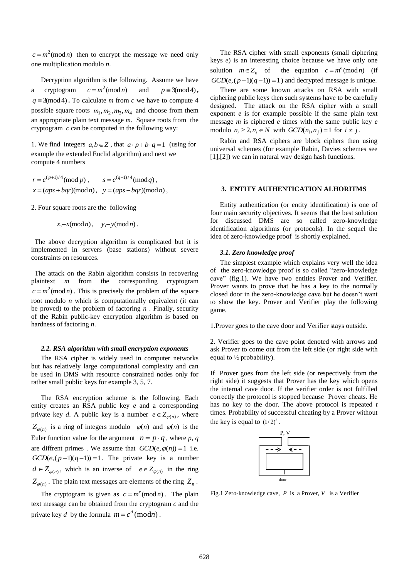$c = m^2 \pmod{n}$  then to encrypt the message we need only one multiplication modulo *n*.

Decryption algorithm is the following. Assume we have a cryptogram  $c = m^2 \pmod{n}$ and  $p \equiv 3 \pmod{4}$ .  $q \equiv 3 \pmod{4}$ . To calculate *m* from *c* we have to compute 4 possible square roots  $m_1, m_2, m_3, m_4$  and choose from them an appropriate plain text message *m*. Square roots from the cryptogram *c* can be computed in the following way:

1. We find integers  $a, b \in \mathbb{Z}$ , that  $a \cdot p + b \cdot q = 1$  (using for example the extended Euclid algorithm) and next we compute 4 numbers

$$
r = c^{(p+1)/4} \pmod{p}
$$
,  $s = c^{(q+1)/4} \pmod{q}$ ,  
\n $x = (aps + bqr) \pmod{n}$ ,  $y = (aps - bqr) \pmod{n}$ ,

2. Four square roots are the following

 $x, -x \pmod{n}, y, -y \pmod{n}.$ 

 The above decryption algorithm is complicated but it is implemented in servers (base stations) without severe constraints on resources.

 The attack on the Rabin algorithm consists in recovering plaintext *m* from the corresponding cryptogram  $c = m^2 \pmod{n}$ . This is precisely the problem of the square root modulo *n* which is computationally equivalent (it can be proved) to the problem of factoring *n* . Finally, security of the Rabin public-key encryption algorithm is based on hardness of factoring *n*.

### *2.2. RSA algorithm with small encryption exponents*

The RSA cipher is widely used in computer networks but has relatively large computational complexity and can be used in DMS with resource constrained nodes only for rather small public keys for example 3, 5, 7.

The RSA encryption scheme is the following. Each entity creates an RSA public key *e* and a corresponding private key *d*. A public key is a number  $e \in Z_{\varphi(n)}$ , where  $Z_{\varphi(n)}$  is a ring of integers modulo  $\varphi(n)$  and  $\varphi(n)$  is the Euler function value for the argument  $n = p \cdot q$ , where p, q are diffrent primes. We assume that  $GCD(e, \varphi(n)) = 1$  i.e.  $GCD(e, (p-1)(q-1)) = 1$ . The private key is a number  $d \in Z_{\varphi(n)}$ , which is an inverse of  $e \in Z_{\varphi(n)}$  in the ring  $Z_{\varphi(n)}$ . The plain text messages are elements of the ring  $Z_n$ .

The cryptogram is given as  $c = m^e \pmod{n}$ . The plain text message can be obtained from the cryptogram *c* and the private key *d* by the formula  $m = c^d \pmod{n}$ .

The RSA cipher with small exponents (small ciphering keys *e*) is an interesting choice because we have only one solution  $m \in Z_n$  of the equation  $c = m^e \pmod{n}$  (if  $GCD(e, (p-1)(q-1)) = 1$  and decrypted message is unique.

There are some known attacks on RSA with small ciphering public keys then such systems have to be carefully designed. The attack on the RSA cipher with a small exponent *e* is for example possible if the same plain text message *m* is ciphered *e* times with the same public key *e* modulo  $n_i \geq 2, n_i \in N$  with  $GCD(n_i, n_j) = 1$  for  $i \neq j$ .

Rabin and RSA ciphers are block ciphers then using universal schemes (for example Rabin, Davies schemes see [1],[2]) we can in natural way design hash functions.

#### **3. ENTITY AUTHENTICATION ALHORITMS**

Entity authentication (or entity identification) is one of four main security objectives. It seems that the best solution for discussed DMS are so called zero-knowledge identification algorithms (or protocols). In the sequel the idea of zero-knowledge proof is shortly explained.

#### *3.1. Zero knowledge proof*

The simplest example which explains very well the idea of the zero-knowledge proof is so called "zero-knowledge cave" (fig.1). We have two entities Prover and Verifier. Prover wants to prove that he has a key to the normally closed door in the zero-knowledge cave but he doesn't want to show the key. Prover and Verifier play the following game.

1.Prover goes to the cave door and Verifier stays outside.

2. Verifier goes to the cave point denoted with arrows and ask Prover to come out from the left side (or right side with equal to  $\frac{1}{2}$  probability).

If Prover goes from the left side (or respectively from the right side) it suggests that Prover has the key which opens the internal cave door. If the verifier order is not fulfilled correctly the protocol is stopped because Prover cheats. He has no key to the door. The above protocol is repeated *t*  times. Probability of successful cheating by a Prover without the key is equal to  $(1/2)^t$ .



Fig.1 Zero-knowledge cave, *P* is a Prover*, V* is a Verifier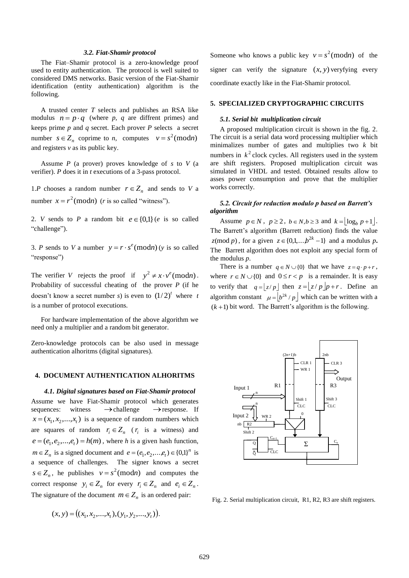#### *3.2. Fiat-Shamir protocol*

The Fiat–Shamir protocol is a zero-knowledge proof used to entity authentication. The protocol is well suited to considered DMS networks. Basic version of the Fiat-Shamir identification (entity authentication) algorithm is the following.

A trusted center *T* selects and publishes an RSA like modulus  $n = p \cdot q$  (where *p*, *q* are diffrent primes) and keeps prime *p* and *q* secret. Each prover *P* selects a secret number  $s \in Z_n$  coprime to *n*, computes  $v = s^2 \pmod{n}$ and registers *v* as its public key.

Assume *P* (a prover) proves knowledge of *s* to *V* (a verifier). *P* does it in *t* executions of a 3-pass protocol.

1.*P* chooses a random number  $r \in Z_n$  and sends to *V* a number  $x = r^2 \pmod{r}$  (*r* is so called "witness").

2. *V* sends to *P* a random bit  $e \in \{0,1\}$  (*e* is so called "challenge").

3. *P* sends to *V* a number  $y = r \cdot s^e \pmod{m}$  (*y* is so called "response")

The verifier *V* rejects the proof if  $y^2 \neq x \cdot y^e \pmod{n}$ . Probability of successful cheating of the prover *P* (if he doesn't know a secret number *s*) is even to  $(1/2)^t$  where *t* is a number of protocol executions.

For hardware implementation of the above algorithm we need only a multiplier and a random bit generator.

Zero-knowledge protocols can be also used in message authentication alhoritms (digital signatures).

#### **4. DOCUMENT AUTHENTICATION ALHORITMS**

*4.1. Digital signatures based on Fiat-Shamir protocol* Assume we have Fiat-Shamir protocol which generates sequences: witness  $\rightarrow$ challenge  $\rightarrow$  response. If  $x = (x_1, x_2,...,x_t)$  is a sequence of random numbers which are squares of random  $r_i \in Z_n$  ( $r_i$  is a witness) and  $e = (e_1, e_2, \dots, e_t) = h(m)$ , where *h* is a given hash function,  $m \in Z_n$  is a signed document and  $e = (e_1, e_2,...,e_t) \in \{0,1\}^n$  is a sequence of challenges. The signer knows a secret  $s \in Z_n$ , he publishes  $v = s^2 \pmod{n}$  and computes the correct response  $y_i \in Z_n$  for every  $r_i \in Z_n$  and  $e_i \in Z_n$ . The signature of the document  $m \in Z_n$  is an ordered pair:

$$
(x, y) = ((x_1, x_2, \dots, x_t), (y_1, y_2, \dots, y_t)).
$$

Someone who knows a public key  $v = s^2 \pmod{n}$  of the signer can verify the signature  $(x, y)$  veryfying every coordinate exactly like in the Fiat-Shamir protocol.

## **5. SPECIALIZED CRYPTOGRAPHIC CIRCUITS**

#### *5.1. Serial bit multiplication circuit*

A proposed multiplication circuit is shown in the fig. 2. The circuit is a serial data word processing multiplier which minimalizes number of gates and multiplies two *k* bit numbers in  $k^2$  clock cycles. All registers used in the system are shift registers. Proposed multiplication circuit was simulated in VHDL and tested. Obtained results allow to asses power consumption and prove that the multiplier works correctly.

# *5.2. Circuit for reduction modulo p based on Barrett's algorithm*

Assume  $p \in N$ ,  $p \ge 2$ ,  $b \in N$ ,  $b \ge 3$  and  $k = \lfloor \log_b p + 1 \rfloor$ . The Barrett's algorithm (Barrett reduction) finds the value  $z \pmod{p}$ , for a given  $z \in \{0,1,\dots, b^{2k}-1\}$  and a modulus p. The Barrett algorithm does not exploit any special form of the modulus *p*.

There is a number  $q \in N \cup \{0\}$  that we have  $z = q \cdot p + r$ , where  $r \in N \cup \{0\}$  and  $0 \le r < p$  is a remainder. It is easy to verify that  $q = \lfloor z/p \rfloor$  then  $z = \lfloor z/p \rfloor p + r$ . Define an algorithm constant  $\mu = \left[ b^{2k} / p \right]$  which can be written with a  $(k+1)$  bit word. The Barrett's algorithm is the following.



Fig. 2. Serial multiplication circuit, R1, R2, R3 are shift registers.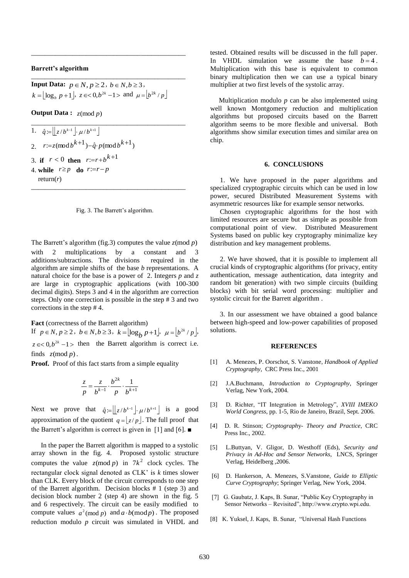#### **Barrett's algorithm**

**Input Data:**  $p \in N, p \ge 2, b \in N, b \ge 3$ ,  $k = \lfloor \log_b p + 1 \rfloor, \ z \in < 0, b^{2k} - 1 > \text{ and } \mu = \lfloor b^{2k} / p \rfloor$ 

\_\_\_\_\_\_\_\_\_\_\_\_\_\_\_\_\_\_\_\_\_\_\_\_\_\_\_\_\_\_\_\_\_\_\_\_\_\_\_\_\_\_\_\_\_

\_\_\_\_\_\_\_\_\_\_\_\_\_\_\_\_\_\_\_\_\_\_\_\_\_\_\_\_\_\_\_\_\_\_\_\_\_\_\_\_\_\_\_\_\_

**Output Data :**  $z \pmod{p}$ 

1. 
$$
\hat{q} := \left[ \left\lfloor \frac{z}{b^{k-1}} \right\rfloor \cdot \mu/b^{k+1} \right]
$$
  
\n2.  $r := z \pmod{b^{k+1}} - \hat{q} \cdot p \pmod{b^{k+1}}$   
\n3. if  $r < 0$  then  $r := r + b^{k+1}$   
\n4. while  $r \geq p$  do  $r := r - p$   
\nreturn(*r*)



The Barrett's algorithm (fig.3) computes the value *z*(mod *p*) with 2 multiplications by a constant and 3 additions/subtractions. The divisions required in the algorithm are simple shifts of the base *b* representations. A natural choice for the base is a power of 2. Integers *p* and *z*  are large in cryptographic applications (with 100-300 decimal digits). Steps 3 and 4 in the algorithm are correction steps. Only one correction is possible in the step # 3 and two corrections in the step # 4.

**Fact** (correctness of the Barrett algorithm)

If  $p \in N, p \ge 2, b \in N, b \ge 3, k = \lfloor \log_b p + 1 \rfloor, \mu = \lfloor b^{2k} / p \rfloor,$  $z \in \langle 0, b^{2k} - 1 \rangle$  then the Barrett algorithm is correct i.e. finds  $z \pmod{p}$ .

Proof. Proof of this fact starts from a simple equality

$$
\frac{z}{p} = \frac{z}{b^{k-1}} \cdot \frac{b^{2k}}{p} \cdot \frac{1}{b^{k+1}}
$$

Next we prove that  $\hat{q} = \lfloor z/b^{k-1} \rfloor \cdot \mu/b^{k+1} \rfloor$  is a good approximation of the quotient  $q = \lfloor z/p \rfloor$ . The full proof that the Barrett's algorithm is correct is given in [1] and [6]. ■

In the paper the Barrett algorithm is mapped to a systolic array shown in the fig. 4. Proposed systolic structure computes the value  $z \pmod{p}$  in  $7k^2$  clock cycles. The rectangular clock signal denoted as CLK' is *k* times slower than CLK. Every block of the circuit corresponds to one step of the Barrett algorithm. Decision blocks # 1 (step 3) and decision block number 2 (step 4) are shown in the fig. 5 and 6 respectively. The circuit can be easily modified to compute values  $a^2 \pmod{p}$  and  $a \cdot b \pmod{p}$ . The proposed reduction modulo *p* circuit was simulated in VHDL and

tested. Obtained results will be discussed in the full paper. In VHDL simulation we assume the base  $b=4$ . Multiplication with this base is equivalent to common binary multiplication then we can use a typical binary multiplier at two first levels of the systolic array.

Multiplication modulo  $p$  can be also implemented using well known Montgomery reduction and multiplication algorithms but proposed circuits based on the Barrett algorithm seems to be more flexible and universal. Both algorithms show similar execution times and similar area on chip.

## **6. CONCLUSIONS**

1. We have proposed in the paper algorithms and specialized cryptographic circuits which can be used in low power, secured Distributed Measurement Systems with asymmetric resources like for example sensor networks.

Chosen cryptographic algorithms for the host with limited resources are secure but as simple as possible from computational point of view. Distributed Measurement Systems based on public key cryptography minimalize key distribution and key management problems.

2. We have showed, that it is possible to implement all crucial kinds of cryptographic algorithms (for privacy, entity authentication, message authentication, data integrity and random bit generation) with two simple circuits (building blocks) with bit serial word processing: multiplier and systolic circuit for the Barrett algorithm .

3. In our assessment we have obtained a good balance between high-speed and low-power capabilities of proposed solutions.

#### **REFERENCES**

- [1] A. Menezes, P. Oorschot, S. Vanstone, *Handbook of Applied Cryptography*, CRC Press Inc., 2001
- [2] J.A.Buchmann, *Introduction to Cryptography*, Springer Verlag, New York, 2004.
- [3] D. Richter, "IT Integration in Metrology", *XVIII IMEKO World Congress*, pp. 1-5, Rio de Janeiro, Brazil, Sept. 2006.
- [4] D. R. Stinson; *Cryptograph*y*- Theory and Practice*, CRC Press Inc., 2002.
- [5] L.Buttyan, V. Gligor, D. Westhoff (Eds), *Security and Privacy in Ad-Hoc and Sensor Networks*, LNCS, Springer Verlag, Heidelberg ,2006.
- [6] D. Hankerson, A. Menezes, S.Vanstone, *Guide to Elliptic Curve Cryptography*; Springer Verlag, New York, 2004.
- [7] G. Gaubatz, J. Kaps, B. Sunar, "Public Key Cryptography in Sensor Networks – Revisited", http://www.crypto.wpi.edu.
- [8] K. Yuksel, J. Kaps, B. Sunar, "Universal Hash Functions